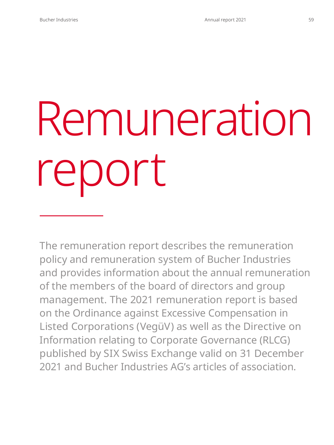# Remuneration report

The remuneration report describes the remuneration policy and remuneration system of Bucher Industries and provides information about the annual remuneration of the members of the board of directors and group management. The 2021 remuneration report is based on the Ordinance against Excessive Compensation in Listed Corporations (VegüV) as well as the Directive on Information relating to Corporate Governance (RLCG) published by SIX Swiss Exchange valid on 31 December 2021 and Bucher Industries AG's articles of association.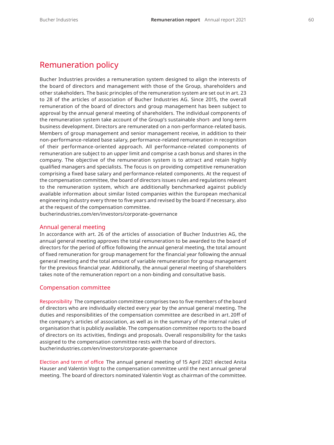# Remuneration policy

Bucher Industries provides a remuneration system designed to align the interests of the board of directors and management with those of the Group, shareholders and other stakeholders. The basic principles of the remuneration system are set out in art. 23 to 28 of the articles of association of Bucher Industries AG. Since 2015, the overall remuneration of the board of directors and group management has been subject to approval by the annual general meeting of shareholders. The individual components of the remuneration system take account of the Group's sustainable short- and long-term business development. Directors are remunerated on a non-performance-related basis. Members of group management and senior management receive, in addition to their non-performance-related base salary, performance-related remuneration in recognition of their performance-oriented approach. All performance-related components of remuneration are subject to an upper limit and comprise a cash bonus and shares in the company. The objective of the remuneration system is to attract and retain highly qualified managers and specialists. The focus is on providing competitive remuneration comprising a fixed base salary and performance-related components. At the request of the compensation committee, the board of directors issues rules and regulations relevant to the remuneration system, which are additionally benchmarked against publicly available information about similar listed companies within the European mechanical engineering industry every three to five years and revised by the board if necessary, also at the request of the compensation committee.

[bucherindustries.com/en/investors/corporate-governance](https://www.bucherindustries.com/en/investors/corporate-governance)

## Annual general meeting

In accordance with art. 26 of the articles of association of Bucher Industries AG, the annual general meeting approves the total remuneration to be awarded to the board of directors for the period of office following the annual general meeting, the total amount of fixed remuneration for group management for the financial year following the annual general meeting and the total amount of variable remuneration for group management for the previous financial year. Additionally, the annual general meeting of shareholders takes note of the remuneration report on a non-binding and consultative basis.

#### Compensation committee

Responsibility The compensation committee comprises two to five members of the board of directors who are individually elected every year by the annual general meeting. The duties and responsibilities of the compensation committee are described in art. 20ff of the company's articles of association, as well as in the summary of the internal rules of organisation that is publicly available. The compensation committee reports to the board of directors on its activities, findings and proposals. Overall responsibility for the tasks assigned to the compensation committee rests with the board of directors. [bucherindustries.com/en/investors/corporate-governance](https://www.bucherindustries.com/en/investors/corporate-governance)

Election and term of office The annual general meeting of 15 April 2021 elected Anita Hauser and Valentin Vogt to the compensation committee until the next annual general meeting. The board of directors nominated Valentin Vogt as chairman of the committee.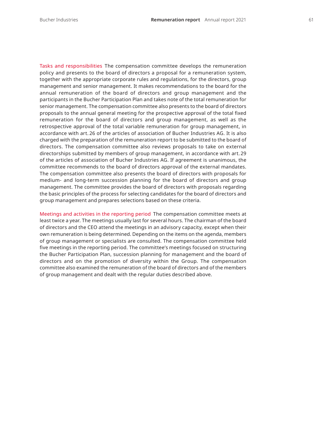Tasks and responsibilities The compensation committee develops the remuneration policy and presents to the board of directors a proposal for a remuneration system, together with the appropriate corporate rules and regulations, for the directors, group management and senior management. It makes recommendations to the board for the annual remuneration of the board of directors and group management and the participants in the Bucher Participation Plan and takes note of the total remuneration for senior management. The compensation committee also presents to the board of directors proposals to the annual general meeting for the prospective approval of the total fixed remuneration for the board of directors and group management, as well as the retrospective approval of the total variable remuneration for group management, in accordance with art. 26 of the articles of association of Bucher Industries AG. It is also charged with the preparation of the remuneration report to be submitted to the board of directors. The compensation committee also reviews proposals to take on external directorships submitted by members of group management, in accordance with art. 29 of the articles of association of Bucher Industries AG. If agreement is unanimous, the committee recommends to the board of directors approval of the external mandates. The compensation committee also presents the board of directors with proposals for medium- and long-term succession planning for the board of directors and group management. The committee provides the board of directors with proposals regarding the basic principles of the process for selecting candidates for the board of directors and

Meetings and activities in the reporting period The compensation committee meets at least twice a year. The meetings usually last for several hours. The chairman of the board of directors and the CEO attend the meetings in an advisory capacity, except when their own remuneration is being determined. Depending on the items on the agenda, members of group management or specialists are consulted. The compensation committee held five meetings in the reporting period. The committee's meetings focused on structuring the Bucher Participation Plan, succession planning for management and the board of directors and on the promotion of diversity within the Group. The compensation committee also examined the remuneration of the board of directors and of the members of group management and dealt with the regular duties described above.

group management and prepares selections based on these criteria.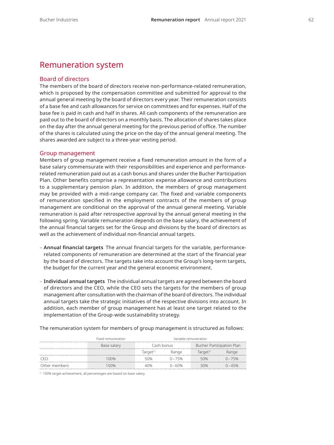# Remuneration system

## Board of directors

The members of the board of directors receive non-performance-related remuneration, which is proposed by the compensation committee and submitted for approval to the annual general meeting by the board of directors every year. Their remuneration consists of a base fee and cash allowances for service on committees and for expenses. Half of the base fee is paid in cash and half in shares. All cash components of the remuneration are paid out to the board of directors on a monthly basis. The allocation of shares takes place on the day after the annual general meeting for the previous period of office. The number of the shares is calculated using the price on the day of the annual general meeting. The shares awarded are subject to a three-year vesting period.

#### Group management

Members of group management receive a fixed remuneration amount in the form of a base salary commensurate with their responsibilities and experience and performancerelated remuneration paid out as a cash bonus and shares under the Bucher Participation Plan. Other benefits comprise a representation expense allowance and contributions to a supplementary pension plan. In addition, the members of group management may be provided with a mid-range company car. The fixed and variable components of remuneration specified in the employment contracts of the members of group management are conditional on the approval of the annual general meeting. Variable remuneration is paid after retrospective approval by the annual general meeting in the following spring. Variable remuneration depends on the base salary, the achievement of the annual financial targets set for the Group and divisions by the board of directors as well as the achievement of individual non-financial annual targets.

- **Annual financial targets** The annual financial targets for the variable, performancerelated components of remuneration are determined at the start of the financial year by the board of directors. The targets take into account the Group's long-term targets, the budget for the current year and the general economic environment.
- **Individual annual targets** The individual annual targets are agreed between the board of directors and the CEO, while the CEO sets the targets for the members of group management after consultation with the chairman of the board of directors. The individual annual targets take the strategic initiatives of the respective divisions into account. In addition, each member of group management has at least one target related to the implementation of the Group-wide sustainability strategy.

The remuneration system for members of group management is structured as follows:

|               | Fixed remuneration | Variable remuneration |           |                           |           |
|---------------|--------------------|-----------------------|-----------|---------------------------|-----------|
|               | Base salary        | Cash bonus            |           | Bucher Participation Plan |           |
|               |                    | Target <sup>1)</sup>  | Range     | Target <sup>1)</sup>      | Range     |
|               | 100%               | 50%                   | $0 - 75%$ | 50%                       | $0 - 75%$ |
| Other members | 100%               | 40%                   | $0 - 60%$ | 30%                       | $0 - 45%$ |

1) 100% target achievement, all percentages are based on base salary.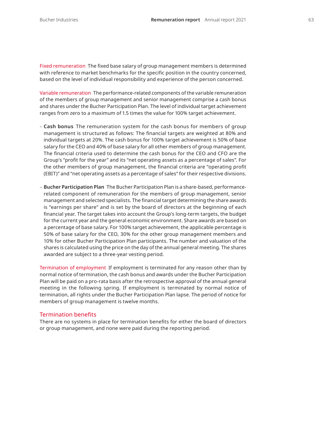Fixed remuneration The fixed base salary of group management members is determined with reference to market benchmarks for the specific position in the country concerned, based on the level of individual responsibility and experience of the person concerned.

Variable remuneration The performance-related components of the variable remuneration of the members of group management and senior management comprise a cash bonus and shares under the Bucher Participation Plan. The level of individual target achievement ranges from zero to a maximum of 1.5 times the value for 100% target achievement.

- **Cash bonus** The remuneration system for the cash bonus for members of group management is structured as follows: The financial targets are weighted at 80% and individual targets at 20%. The cash bonus for 100% target achievement is 50% of base salary for the CEO and 40% of base salary for all other members of group management. The financial criteria used to determine the cash bonus for the CEO and CFO are the Group's "profit for the year" and its "net operating assets as a percentage of sales". For the other members of group management, the financial criteria are "operating profit (EBIT)" and "net operating assets as a percentage of sales" for their respective divisions.
- **Bucher Participation Plan** The Bucher Participation Plan is a share-based, performancerelated component of remuneration for the members of group management, senior management and selected specialists. The financial target determining the share awards is "earnings per share" and is set by the board of directors at the beginning of each financial year. The target takes into account the Group's long-term targets, the budget for the current year and the general economic environment. Share awards are based on a percentage of base salary. For 100% target achievement, the applicable percentage is 50% of base salary for the CEO, 30% for the other group management members and 10% for other Bucher Participation Plan participants. The number and valuation of the shares is calculated using the price on the day of the annual general meeting. The shares awarded are subject to a three-year vesting period.

Termination of employment If employment is terminated for any reason other than by normal notice of termination, the cash bonus and awards under the Bucher Participation Plan will be paid on a pro-rata basis after the retrospective approval of the annual general meeting in the following spring. If employment is terminated by normal notice of termination, all rights under the Bucher Participation Plan lapse. The period of notice for members of group management is twelve months.

#### Termination benefits

There are no systems in place for termination benefits for either the board of directors or group management, and none were paid during the reporting period.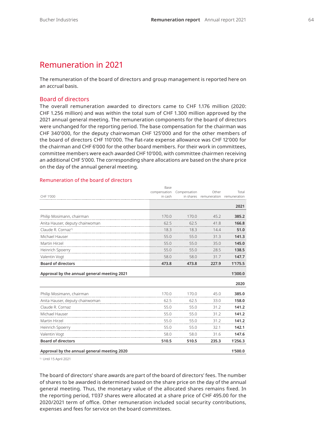# Remuneration in 2021

The remuneration of the board of directors and group management is reported here on an accrual basis.

#### Board of directors

The overall remuneration awarded to directors came to CHF 1.176 million (2020: CHF 1.256 million) and was within the total sum of CHF 1.300 million approved by the 2021 annual general meeting. The remuneration components for the board of directors were unchanged for the reporting period. The base compensation for the chairman was CHF 340'000, for the deputy chairwoman CHF 125'000 and for the other members of the board of directors CHF 110'000. The flat-rate expense allowance was CHF 12'000 for the chairman and CHF 6'000 for the other board members. For their work in committees, committee members were each awarded CHF 10'000, with committee chairmen receiving an additional CHF 5'000. The corresponding share allocations are based on the share price on the day of the annual general meeting.

#### CHF 1'000 Base compensation Compensation in cash in shares remuneration remuneration Other Total **2021** Philip Mosimann, chairman 170.0 170.0 45.2 **385.2** Anita Hauser, deputy chairwoman 62.5 62.5 41.8 **166.8** Claude R. Cornaz1) 18.3 18.3 14.4 **51.0** Michael Hauser 55.0 55.0 31.3 **141.3** Martin Hirzel 55.0 55.0 35.0 **145.0** Heinrich Spoerry 55.0 55.0 28.5 **138.5** Valentin Vogt 58.0 58.0 31.7 **147.7 Board of directors 473.8 473.8 227.9 1'175.5 Approval by the annual general meeting 2021 1'300.0 2020** Philip Mosimann, chairman 170.0 170.0 45.0 **385.0** Anita Hauser, deputy chairwoman 62.5 62.5 33.0 **158.0** Claude R. Cornaz 55.0 55.0 31.2 **141.2** Michael Hauser 55.0 55.0 31.2 **141.2** Martin Hirzel 55.0 55.0 31.2 **141.2** Heinrich Spoerry 55.0 55.0 32.1 **142.1** Valentin Vogt 58.0 58.0 31.6 **147.6 Board of directors 510.5 510.5 235.3 1'256.3 Approval by the annual general meeting 2020 1'500.0**

#### Remuneration of the board of directors

1) Until 15 April 2021

The board of directors' share awards are part of the board of directors' fees. The number of shares to be awarded is determined based on the share price on the day of the annual general meeting. Thus, the monetary value of the allocated shares remains fixed. In the reporting period, 1'037 shares were allocated at a share price of CHF 495.00 for the 2020/2021 term of office. Other remuneration included social security contributions, expenses and fees for service on the board committees.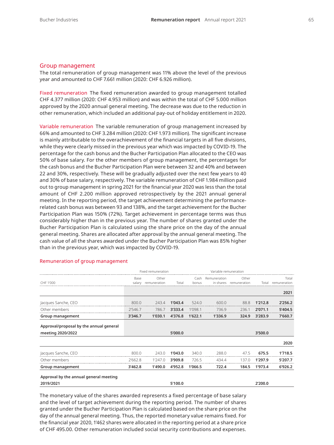#### Group management

The total remuneration of group management was 11% above the level of the previous year and amounted to CHF 7.661 million (2020: CHF 6.926 million).

Fixed remuneration The fixed remuneration awarded to group management totalled CHF 4.377 million (2020: CHF 4.953 million) and was within the total of CHF 5.000 million approved by the 2020 annual general meeting. The decrease was due to the reduction in other remuneration, which included an additional pay-out of holiday entitlement in 2020.

Variable remuneration The variable remuneration of group management increased by 66% and amounted to CHF 3.284 million (2020: CHF 1.973 million). The significant increase is mainly attributable to the overachievement of the financial targets in all five divisions, while they were clearly missed in the previous year which was impacted by COVID-19. The percentage for the cash bonus and the Bucher Participation Plan allocated to the CEO was 50% of base salary. For the other members of group management, the percentages for the cash bonus and the Bucher Participation Plan were between 32 and 40% and between 22 and 30%, respectively. These will be gradually adjusted over the next few years to 40 and 30% of base salary, respectively. The variable remuneration of CHF 1.984 million paid out to group management in spring 2021 for the financial year 2020 was less than the total amount of CHF 2.200 million approved retrospectively by the 2021 annual general meeting. In the reporting period, the target achievement determining the performancerelated cash bonus was between 93 and 138%, and the target achievement for the Bucher Participation Plan was 150% (72%). Target achievement in percentage terms was thus considerably higher than in the previous year. The number of shares granted under the Bucher Participation Plan is calculated using the share price on the day of the annual general meeting. Shares are allocated after approval by the annual general meeting. The cash value of all the shares awarded under the Bucher Participation Plan was 85% higher than in the previous year, which was impacted by COVID-19.

|                                         | Fixed remuneration |                       |         | Variable remuneration |                           |                       |         |                       |
|-----------------------------------------|--------------------|-----------------------|---------|-----------------------|---------------------------|-----------------------|---------|-----------------------|
| CHF 1'000                               | Base<br>salary     | Other<br>remuneration | Total   | Cash<br>bonus         | Remuneration<br>in shares | Other<br>remuneration | Total   | Total<br>remuneration |
|                                         |                    |                       |         |                       |                           |                       |         | 2021                  |
| Jacques Sanche, CEO                     | 800.0              | 243.4                 | 1'043.4 | 524.0                 | 600.0                     | 88.8                  | 1'212.8 | 2'256.2               |
| Other members                           | 2'546.7            | 786.7                 | 3'333.4 | 1'098.1               | 736.9                     | 236.1                 | 2'071.1 | 5'404.5               |
| Group management                        | 3'346.7            | 1'030.1               | 4'376.8 | 1'622.1               | 1'336.9                   | 324.9                 | 3'283.9 | 7'660.7               |
| Approval/proposal by the annual general |                    |                       |         |                       |                           |                       |         |                       |
| meeting 2020/2022                       |                    |                       | 5'000.0 |                       |                           |                       | 3'500.0 |                       |
|                                         |                    |                       |         |                       |                           |                       |         | 2020                  |
| Jacques Sanche, CEO                     | 800.0              | 243.0                 | 1'043.0 | 340.0                 | 288.0                     | 47.5                  | 675.5   | 1'718.5               |
| Other members                           | 2'662.8            | 1'247.0               | 3'909.8 | 726.5                 | 434.4                     | 137.0                 | 1'297.9 | 5'207.7               |
| Group management                        | 3'462.8            | 1'490.0               | 4'952.8 | 1'066.5               | 722.4                     | 184.5                 | 1'973.4 | 6'926.2               |
| Approval by the annual general meeting  |                    |                       |         |                       |                           |                       |         |                       |
| 2019/2021                               |                    |                       | 5'100.0 |                       |                           |                       | 2'200.0 |                       |

#### Remuneration of group management

The monetary value of the shares awarded represents a fixed percentage of base salary and the level of target achievement during the reporting period. The number of shares granted under the Bucher Participation Plan is calculated based on the share price on the day of the annual general meeting. Thus, the reported monetary value remains fixed. For the financial year 2020, 1'462 shares were allocated in the reporting period at a share price of CHF 495.00. Other remuneration included social security contributions and expenses.